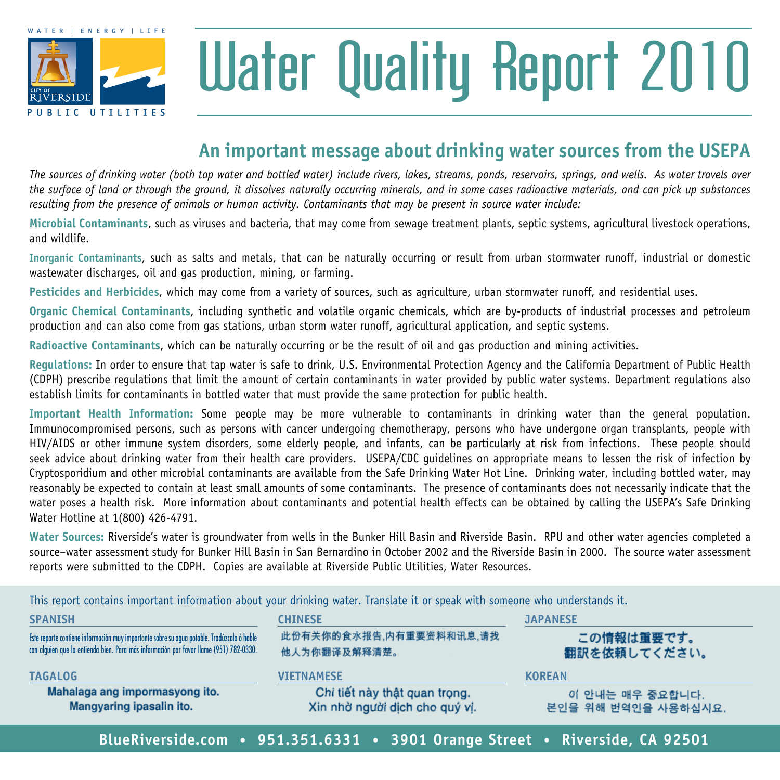

# Water Quality Report 2010

### **An important message about drinking water sources from the usepa**

*The sources of drinking water (both tap water and bottled water) include rivers, lakes, streams, ponds, reservoirs, springs, and wells. As water travels over the surface of land or through the ground, it dissolves naturally occurring minerals, and in some cases radioactive materials, and can pick up substances resulting from the presence of animals or human activity. Contaminants that may be present in source water include:*

**Microbial Contaminants**, such as viruses and bacteria, that may come from sewage treatment plants, septic systems, agricultural livestock operations, and wildlife.

**Inorganic Contaminants**, such as salts and metals, that can be naturally occurring or result from urban stormwater runoff, industrial or domestic wastewater discharges, oil and gas production, mining, or farming.

**Pesticides and Herbicides**, which may come from a variety of sources, such as agriculture, urban stormwater runoff, and residential uses.

**Organic Chemical Contaminants**, including synthetic and volatile organic chemicals, which are by-products of industrial processes and petroleum production and can also come from gas stations, urban storm water runoff, agricultural application, and septic systems.

**Radioactive Contaminants**, which can be naturally occurring or be the result of oil and gas production and mining activities.

**Regulations:** In order to ensure that tap water is safe to drink, U.S. Environmental Protection Agency and the California Department of Public Health (CDPH) prescribe regulations that limit the amount of certain contaminants in water provided by public water systems. Department regulations also establish limits for contaminants in bottled water that must provide the same protection for public health.

**Important Health Information:** Some people may be more vulnerable to contaminants in drinking water than the general population. Immunocompromised persons, such as persons with cancer undergoing chemotherapy, persons who have undergone organ transplants, people with HIV/AIDS or other immune system disorders, some elderly people, and infants, can be particularly at risk from infections. These people should seek advice about drinking water from their health care providers. USEPA/CDC quidelines on appropriate means to lessen the risk of infection by Cryptosporidium and other microbial contaminants are available from the Safe Drinking Water Hot Line. Drinking water, including bottled water, may reasonably be expected to contain at least small amounts of some contaminants. The presence of contaminants does not necessarily indicate that the water poses a health risk. More information about contaminants and potential health effects can be obtained by calling the USEPA's Safe Drinking Water Hotline at 1(800) 426-4791.

**Water Sources:** Riverside's water is groundwater from wells in the Bunker Hill Basin and Riverside Basin. RPU and other water agencies completed a source–water assessment study for Bunker Hill Basin in San Bernardino in October 2002 and the Riverside Basin in 2000. The source water assessment reports were submitted to the CDPH. Copies are available at Riverside Public Utilities, Water Resources.

**Spanish chinese japanese** 此份有关你的食水报告,内有重要资料和讯息,请找 Este reporte contiene información muy importante sobre su agua potable. Tradúzcalo ó hable この情報は重要です。 con alguien que lo entienda bien. Para más información por favor llame (951) 782-0330. 翻訳を依頼してください。 他人为你翻译及解释清楚。 **tagalog vietnamese korean**Mahalaga ang impormasyong ito. Chi tiết này thật quan trong. 이 안내는 매우 중요합니다. Xin nhờ người dịch cho quý vi. Mangyaring ipasalin ito. 본인을 위해 번역인을 사용하십시요. **BlueRiverside.com • 951.351.6331 • 3901 Orange Street • Riverside, CA 92501**

This report contains important information about your drinking water. Translate it or speak with someone who understands it.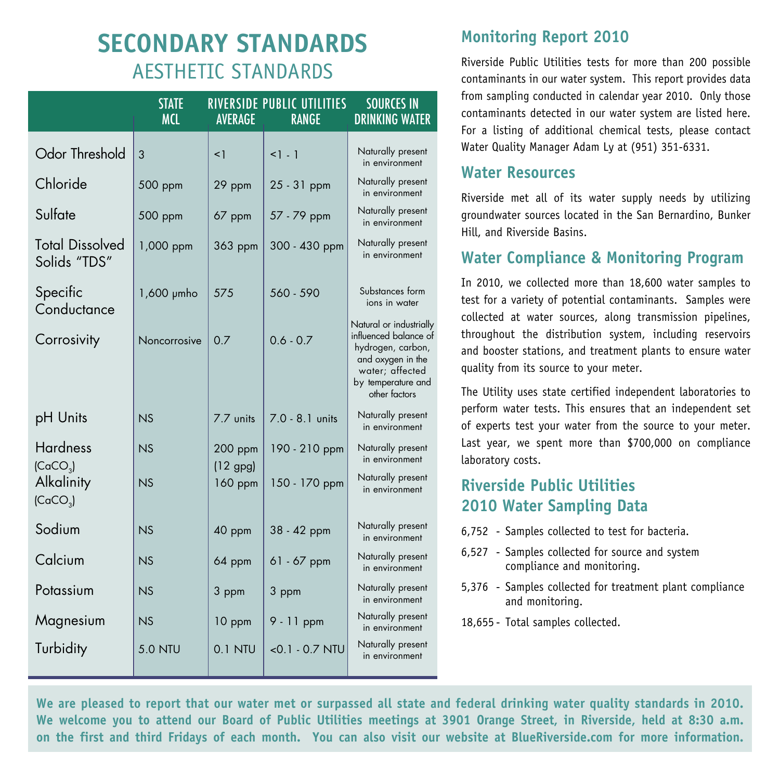## **Secondary Standards** Aesthetic Standards

|                                         | <b>STATE</b><br><b>MCI</b> | <b>AVERAGE</b>        | RIVERSIDE PUBLIC UTILITIES<br><b>RANGE</b> | <b>SOURCES IN</b><br><b>DRINKING WATER</b>                                                                                                           |
|-----------------------------------------|----------------------------|-----------------------|--------------------------------------------|------------------------------------------------------------------------------------------------------------------------------------------------------|
| Odor Threshold                          | 3                          | $\leq$ 1              | $1 - 1$                                    | Naturally present<br>in environment                                                                                                                  |
| Chloride                                | 500 ppm                    | 29 ppm                | $25 - 31$ ppm                              | Naturally present<br>in environment                                                                                                                  |
| Sulfate                                 | 500 ppm                    | 67 ppm                | 57 - 79 ppm                                | Naturally present<br>in environment                                                                                                                  |
| <b>Total Dissolved</b><br>Solids "TDS"  | 1,000 ppm                  | 363 ppm               | 300 - 430 ppm                              | Naturally present<br>in environment                                                                                                                  |
| Specific<br>Conductance                 | 1,600 µmho                 | 575                   | 560 - 590                                  | Substances form<br>ions in water                                                                                                                     |
| Corrosivity                             | Noncorrosive               | 0.7                   | $0.6 - 0.7$                                | Natural or industrially<br>influenced balance of<br>hydrogen, carbon,<br>and oxygen in the<br>water; affected<br>by temperature and<br>other factors |
| pH Units                                | NS                         | 7.7 units             | $7.0 - 8.1$ units                          | Naturally present<br>in environment                                                                                                                  |
| <b>Hardness</b><br>(CaCO <sub>3</sub> ) | N.S                        | $200$ ppm             | 190 - 210 ppm                              | Naturally present<br>in environment                                                                                                                  |
| Alkalinity<br>(CaCO <sub>3</sub> )      | NS                         | $(12$ gpg)<br>160 ppm | 150 - 170 ppm                              | Naturally present<br>in environment                                                                                                                  |
| Sodium                                  | NS                         | 40 ppm                | 38 - 42 ppm                                | Naturally present<br>in environment                                                                                                                  |
| Calcium                                 | N.S                        | 64 ppm                | $61 - 67$ ppm                              | Naturally present<br>in environment                                                                                                                  |
| Potassium                               | N.S                        | 3 ppm                 | 3 ppm                                      | Naturally present<br>in environment                                                                                                                  |
| Magnesium                               | NS                         | 10 ppm                | $9 - 11$ ppm                               | Naturally present<br>in environment                                                                                                                  |
| Turbidity                               | <b>5.0 NTU</b>             | $0.1$ NTU             | $< 0.1 - 0.7$ NTU                          | Naturally present<br>in environment                                                                                                                  |

#### **Monitoring Report 2010**

Riverside Public Utilities tests for more than 200 possible contaminants in our water system. This report provides data from sampling conducted in calendar year 2010. Only those contaminants detected in our water system are listed here. For a listing of additional chemical tests, please contact Water Quality Manager Adam Ly at (951) 351-6331.

#### **Water Resources**

Riverside met all of its water supply needs by utilizing groundwater sources located in the San Bernardino, Bunker Hill, and Riverside Basins.

#### **Water Compliance & Monitoring Program**

In 2010, we collected more than 18,600 water samples to test for a variety of potential contaminants. Samples were collected at water sources, along transmission pipelines, throughout the distribution system, including reservoirs and booster stations, and treatment plants to ensure water quality from its source to your meter.

The Utility uses state certified independent laboratories to perform water tests. This ensures that an independent set of experts test your water from the source to your meter. Last year, we spent more than \$700,000 on compliance laboratory costs.

#### **Riverside Public Utilities 2010 Water Sampling Data**

- 6,752 Samples collected to test for bacteria.
- 6,527 Samples collected for source and system compliance and monitoring.
- 5,376 Samples collected for treatment plant compliance and monitoring.
- 18,655 Total samples collected.

**We are pleased to report that our water met or surpassed all state and federal drinking water quality standards in 2010. We welcome you to attend our Board of Public Utilities meetings at 3901 Orange Street, in Riverside, held at 8:30 a.m. on the first and third Fridays of each month. You can also visit our website at BlueRiverside.com for more information.**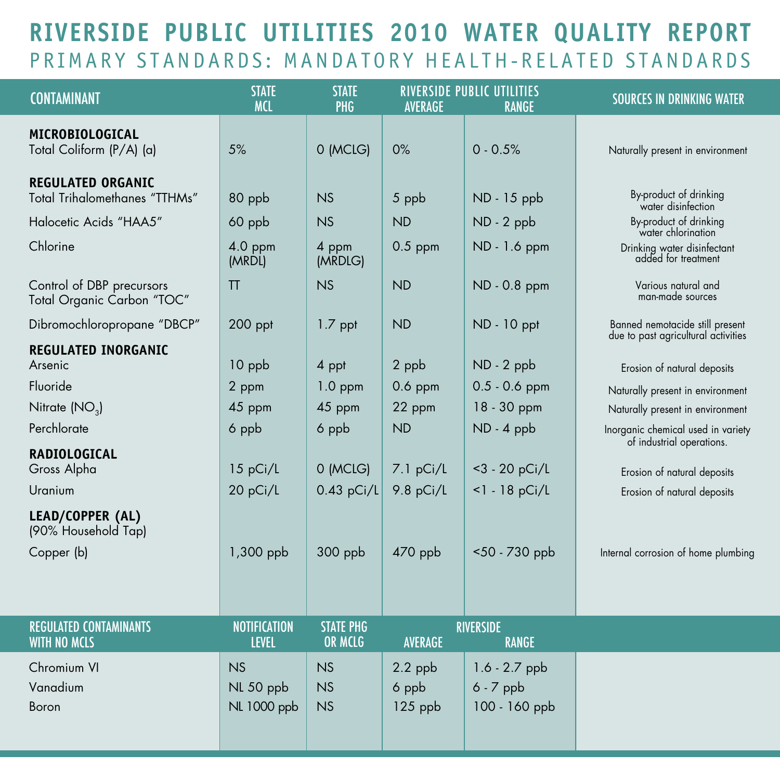## **Riverside Public Utilities 2010 Water Quality Report** PRIMARY STANDARDS: MANDATORY HEALTH-RELATED STANDARDS

| <b>CONTAMINANT</b>                                        | <b>STATE</b><br><b>MCL</b>          | <b>STATE</b><br>PHG          | <b>AVERAGE</b>                | <b>RIVERSIDE PUBLIC UTILITIES</b><br><b>RANGE</b> | <b>SOURCES IN DRINKING WATER</b>                                       |
|-----------------------------------------------------------|-------------------------------------|------------------------------|-------------------------------|---------------------------------------------------|------------------------------------------------------------------------|
| MICROBIOLOGICAL<br>Total Coliform (P/A) (a)               | 5%                                  | 0 (MCLG)                     | 0%                            | $0 - 0.5%$                                        | Naturally present in environment                                       |
| <b>REGULATED ORGANIC</b><br>Total Trihalomethanes "TTHMs" | 80 ppb                              | NS                           | 5 ppb                         | ND - 15 ppb                                       | By-product of drinking<br>water disinfection                           |
| Halocetic Acids "HAA5"                                    | 60 ppb                              | NS                           | <b>ND</b>                     | ND - 2 ppb                                        | By-product of drinking<br>water chlorination                           |
| Chlorine                                                  | 4.0 ppm<br>(MRDL)                   | 4 ppm<br>(MRDLG)             | $0.5$ ppm                     | ND - 1.6 ppm                                      | Drinking water disinfectant<br>added for treatment                     |
| Control of DBP precursors<br>Total Organic Carbon "TOC"   | TT                                  | NS                           | <b>ND</b>                     | ND - 0.8 ppm                                      | Various natural and<br>man-made sources                                |
| Dibromochloropropane "DBCP"                               | $200$ ppt                           | $1.7$ ppt                    | <b>ND</b>                     | ND - 10 ppt                                       | Banned nemotacide still present<br>due to past agricultural activities |
| <b>REGULATED INORGANIC</b><br>Arsenic                     | 10 ppb                              | 4 ppt                        | 2 ppb                         | ND - 2 ppb                                        | Erosion of natural deposits                                            |
| Fluoride                                                  | 2 ppm                               | $1.0$ ppm                    | $0.6$ ppm                     | $0.5 - 0.6$ ppm                                   | Naturally present in environment                                       |
| Nitrate (NO <sub>2</sub> )                                | 45 ppm                              | 45 ppm                       | 22 ppm                        | 18 - 30 ppm                                       | Naturally present in environment                                       |
| Perchlorate                                               | 6 ppb                               | 6 ppb                        | <b>ND</b>                     | ND - 4 ppb                                        | Inorganic chemical used in variety<br>of industrial operations.        |
| <b>RADIOLOGICAL</b><br>Gross Alpha                        | 15 pCi/L                            | 0 (MCLG)                     | 7.1 pCi/L                     | $<$ 3 - 20 pCi/L                                  | Erosion of natural deposits                                            |
| Uranium                                                   | 20 pCi/L                            | $0.43$ pCi/L                 | 9.8 pCi/L                     | $<$ 1 - 18 pCi/L                                  | Erosion of natural deposits                                            |
| LEAD/COPPER (AL)<br>(90% Household Tap)                   |                                     |                              |                               |                                                   |                                                                        |
| Copper (b)                                                | 1,300 ppb                           | 300 ppb                      | $470$ ppb                     | $50 - 730$ ppb                                    | Internal corrosion of home plumbing                                    |
|                                                           |                                     |                              |                               |                                                   |                                                                        |
| <b>REGULATED CONTAMINANTS</b><br><b>WITH NO MCLS</b>      | <b>NOTIFICATION</b><br><b>LEVEL</b> | <b>STATE PHG</b><br>OR MCLG  | <b>AVERAGE</b>                | <b>RIVERSIDE</b><br><b>RANGE</b>                  |                                                                        |
| Chromium VI<br>Vanadium<br>Boron                          | NS<br>NL 50 ppb<br>NL 1000 ppb      | <b>NS</b><br>NS<br><b>NS</b> | $2.2$ ppb<br>6 ppb<br>125 ppb | $1.6 - 2.7$ ppb<br>$6 - 7$ ppb<br>100 - 160 ppb   |                                                                        |
|                                                           |                                     |                              |                               |                                                   |                                                                        |